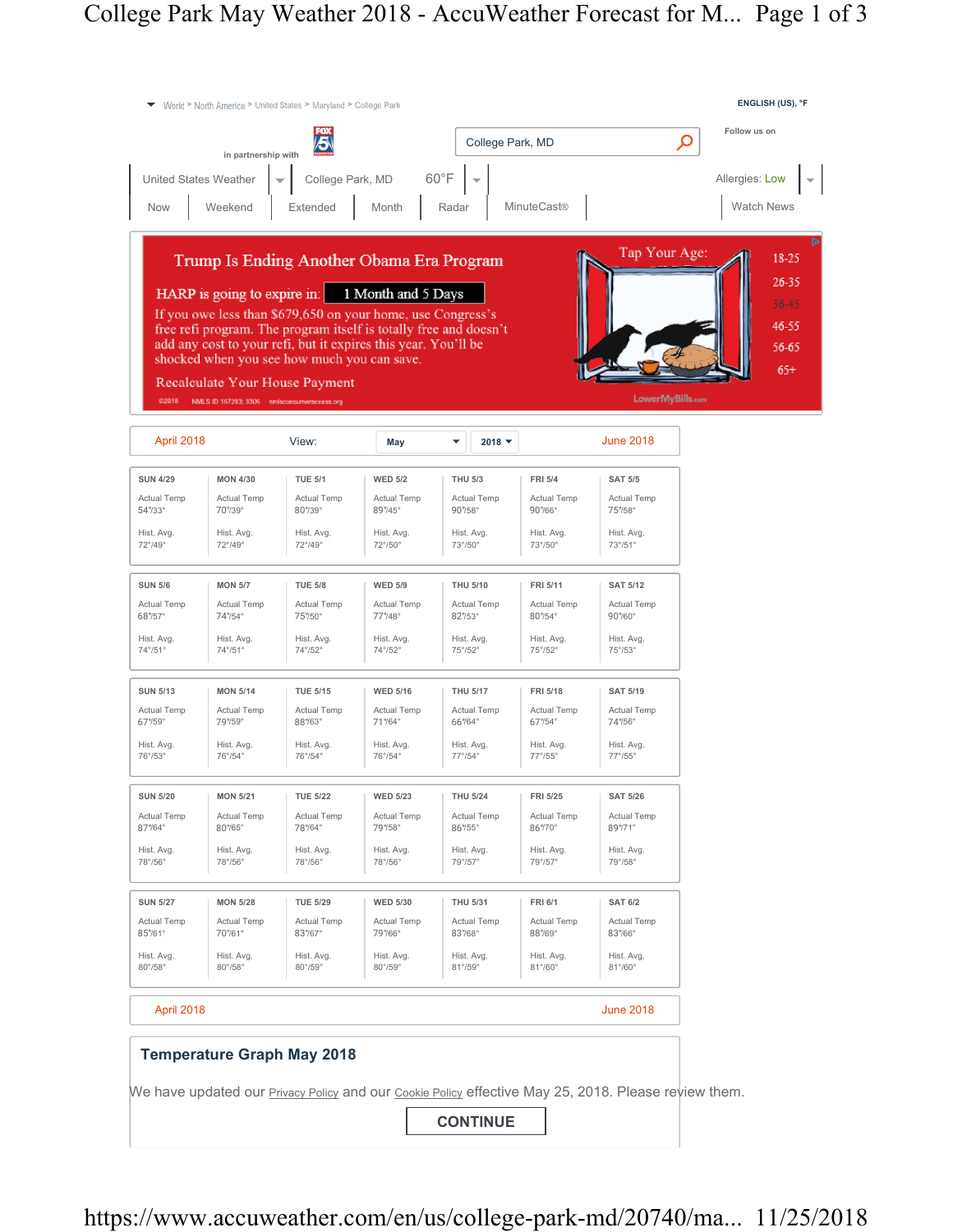| World > North America > United States > Maryland > College Park |                                             |                                             |                                                                                                                                                                                                                                                                                                   |                       |                              |                                                                                                             | ENGLISH (US), °F                          |  |
|-----------------------------------------------------------------|---------------------------------------------|---------------------------------------------|---------------------------------------------------------------------------------------------------------------------------------------------------------------------------------------------------------------------------------------------------------------------------------------------------|-----------------------|------------------------------|-------------------------------------------------------------------------------------------------------------|-------------------------------------------|--|
|                                                                 | in partnership with                         | 5                                           |                                                                                                                                                                                                                                                                                                   | College Park, MD      |                              |                                                                                                             | Follow us on<br>$\boldsymbol{\varphi}$    |  |
| <b>United States Weather</b>                                    |                                             | College Park, MD                            |                                                                                                                                                                                                                                                                                                   | $60^{\circ}$ F        |                              |                                                                                                             | Allergies: Low                            |  |
| <b>Now</b>                                                      | Weekend                                     | Extended                                    | Month                                                                                                                                                                                                                                                                                             | Radar                 | <b>MinuteCast®</b>           |                                                                                                             | <b>Watch News</b>                         |  |
|                                                                 |                                             | shocked when you see how much you can save. | Trump Is Ending Another Obama Era Program<br>HARP is going to expire in: 1 Month and 5 Days<br>If you owe less than \$679,650 on your home, use Congress's<br>free refi program. The program itself is totally free and doesn't<br>add any cost to your refi, but it expires this year. You'll be |                       |                              | Tap Your Age:                                                                                               | 18-25<br>26-35<br>36-45<br>46-55<br>56-65 |  |
| C2018                                                           | NMLS ID 167283; 3306 nmlsconsumeracoess.org | Recalculate Your House Payment              |                                                                                                                                                                                                                                                                                                   |                       |                              | LowerMyBills.com                                                                                            | $65+$                                     |  |
| April 2018                                                      |                                             | View:                                       | May                                                                                                                                                                                                                                                                                               | $2018$ $\star$<br>▼   |                              | <b>June 2018</b>                                                                                            |                                           |  |
| <b>SUN 4/29</b>                                                 | <b>MON 4/30</b>                             | <b>TUE 5/1</b>                              | <b>WED 5/2</b>                                                                                                                                                                                                                                                                                    | <b>THU 5/3</b>        | <b>FRI 5/4</b>               | <b>SAT 5/5</b>                                                                                              |                                           |  |
| Actual Temp<br>54°/33°                                          | Actual Temp<br>70%39°                       | Actual Temp<br>80°/39°                      | Actual Temp<br>89°/45°                                                                                                                                                                                                                                                                            | Actual Temp<br>90%58° | Actual Temp<br>90%66°        | Actual Temp<br>75%58°                                                                                       |                                           |  |
| Hist. Avg.<br>72°/49°                                           | Hist. Avg.<br>72°/49°                       | Hist. Avg.<br>$72^{\circ}/49^{\circ}$       | Hist. Avg.<br>72°/50°                                                                                                                                                                                                                                                                             | Hist. Avg.<br>73°/50° | Hist. Avg.<br>73°/50°        | Hist. Avg.<br>73°/51°                                                                                       |                                           |  |
| <b>SUN 5/6</b>                                                  | <b>MON 5/7</b>                              | <b>TUE 5/8</b>                              | <b>WED 5/9</b>                                                                                                                                                                                                                                                                                    | <b>THU 5/10</b>       | FRI 5/11                     | <b>SAT 5/12</b>                                                                                             |                                           |  |
| <b>Actual Temp</b><br>68°/57°                                   | <b>Actual Temp</b><br>74°/54°               | <b>Actual Temp</b><br>75%50°                | <b>Actual Temp</b><br>77°/48°                                                                                                                                                                                                                                                                     | Actual Temp<br>82%53° | Actual Temp<br>80%54°        | <b>Actual Temp</b><br>90%60°                                                                                |                                           |  |
| Hist. Avg.<br>74°/51°                                           | Hist. Avg.<br>74°/51°                       | Hist. Avg.<br>74°/52°                       | Hist. Avg.<br>74°/52°                                                                                                                                                                                                                                                                             | Hist. Avg.<br>75°/52° | Hist. Avg.<br>75°/52°        | Hist. Avg.<br>75°/53°                                                                                       |                                           |  |
| <b>SUN 5/13</b>                                                 | <b>MON 5/14</b>                             | <b>TUE 5/15</b>                             | <b>WED 5/16</b>                                                                                                                                                                                                                                                                                   | <b>THU 5/17</b>       | FRI 5/18                     | <b>SAT 5/19</b>                                                                                             |                                           |  |
| <b>Actual Temp</b><br>67%59°                                    | Actual Temp<br>79%59°                       | <b>Actual Temp</b><br>88%63°                | <b>Actual Temp</b><br>71%64°                                                                                                                                                                                                                                                                      | Actual Temp<br>66%64° | Actual Temp<br>67°/54°       | <b>Actual Temp</b><br>74%56°                                                                                |                                           |  |
| Hist. Avg.<br>76°/53°                                           | Hist. Avg.<br>76°/54°                       | Hist. Avg.<br>76°/54°                       | Hist. Avg.<br>76°/54°                                                                                                                                                                                                                                                                             | Hist. Avg.<br>77°/54° | Hist. Avg.<br>77°/55°        | Hist. Avg.<br>77°/55°                                                                                       |                                           |  |
| <b>SUN 5/20</b>                                                 | <b>MON 5/21</b>                             | <b>TUE 5/22</b>                             | <b>WED 5/23</b>                                                                                                                                                                                                                                                                                   | <b>THU 5/24</b>       | FRI 5/25                     | <b>SAT 5/26</b>                                                                                             |                                           |  |
| <b>Actual Temp</b><br>87%64°                                    | <b>Actual Temp</b><br>80%65°                | <b>Actual Temp</b><br>78%64°                | Actual Temp<br>79%58°                                                                                                                                                                                                                                                                             | Actual Temp<br>86%55° | Actual Temp<br>86%70°        | Actual Temp<br>89%71°                                                                                       |                                           |  |
| Hist. Avg.<br>78°/56°                                           | Hist. Avg.<br>78°/56°                       | Hist. Avg.<br>78°/56°                       | Hist. Avg.<br>78°/56°                                                                                                                                                                                                                                                                             | Hist. Avg.<br>79°/57° | Hist. Avg.<br>79°/57°        | Hist. Avg.<br>79°/58°                                                                                       |                                           |  |
| <b>SUN 5/27</b>                                                 | <b>MON 5/28</b>                             | <b>TUE 5/29</b>                             | <b>WED 5/30</b>                                                                                                                                                                                                                                                                                   | THU 5/31              | <b>FRI 6/1</b>               | <b>SAT 6/2</b>                                                                                              |                                           |  |
| <b>Actual Temp</b><br>85%61°                                    | Actual Temp<br>70%61°                       | <b>Actual Temp</b><br>83%67°                | <b>Actual Temp</b><br>79%66°                                                                                                                                                                                                                                                                      | Actual Temp<br>83%68° | <b>Actual Temp</b><br>88%69° | <b>Actual Temp</b><br>83%66°                                                                                |                                           |  |
| Hist. Avg.<br>80°/58°                                           | Hist. Avg.<br>$80^{\circ}/58^{\circ}$       | Hist. Avg.<br>80°/59°                       | Hist. Avg.<br>80°/59°                                                                                                                                                                                                                                                                             | Hist. Avg.<br>81°/59° | Hist. Avg.<br>81°/60°        | Hist. Avg.<br>81°/60°                                                                                       |                                           |  |
| April 2018                                                      |                                             |                                             |                                                                                                                                                                                                                                                                                                   |                       |                              | <b>June 2018</b>                                                                                            |                                           |  |
|                                                                 |                                             | <b>Temperature Graph May 2018</b>           |                                                                                                                                                                                                                                                                                                   | <b>CONTINUE</b>       |                              | We have updated our <b>Privacy Policy</b> and our Cookie Policy effective May 25, 2018. Please review them. |                                           |  |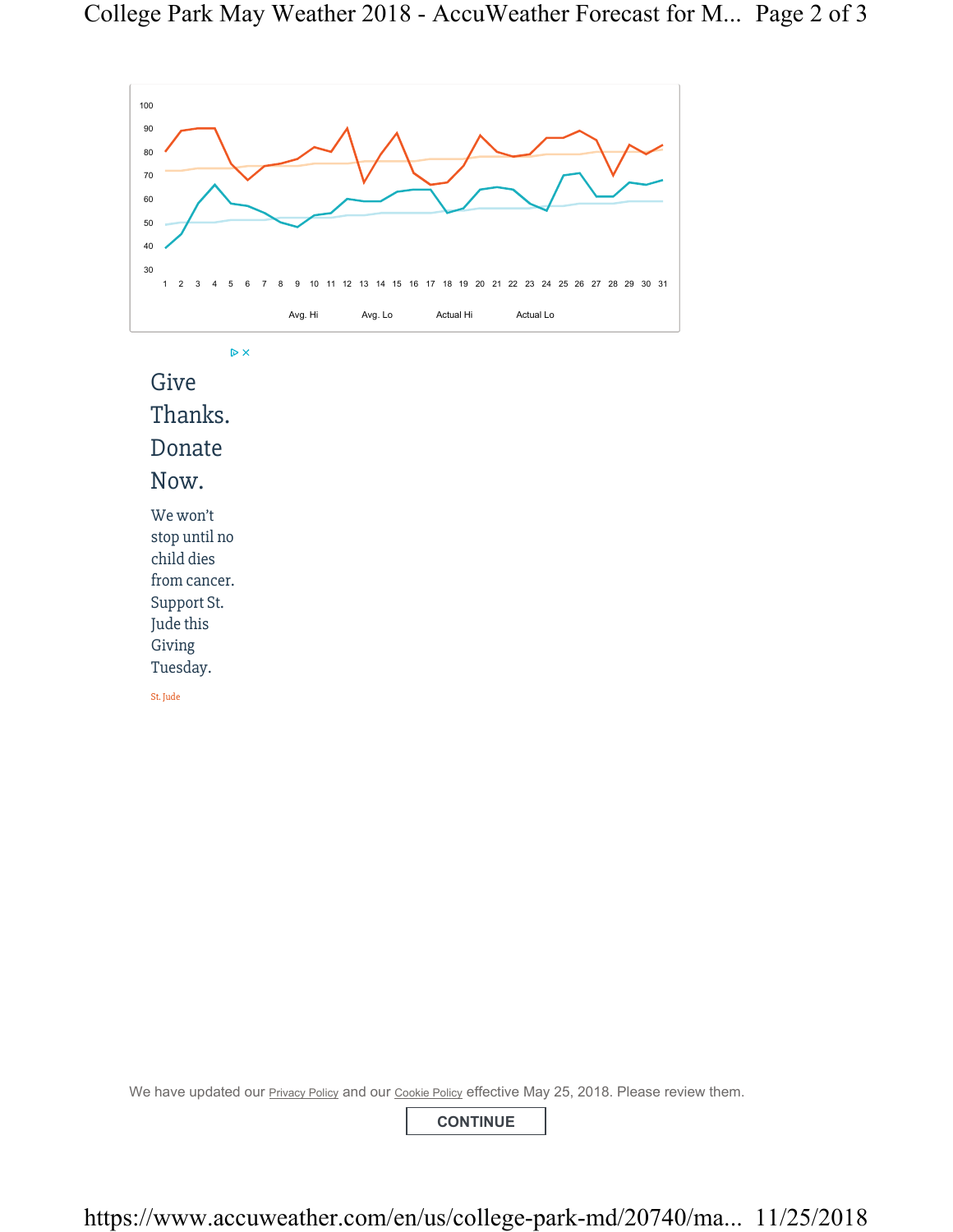

 $\triangleright$   $\times$ 

Give Thanks. Donate Now. We won't stop until no child dies

from cancer. Support St.

Jude this

Giving Tuesday.

St. Jude

We have updated our **Privacy Policy and our Cookie Policy effective May 25, 2018. Please review them.** 

**CONTINUE**